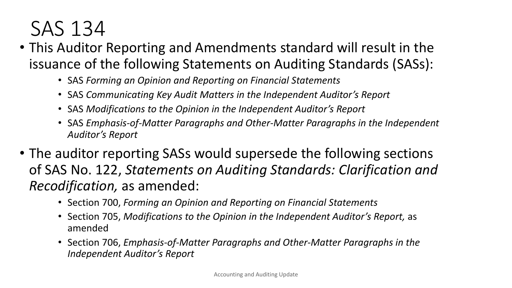- This Auditor Reporting and Amendments standard will result in the issuance of the following Statements on Auditing Standards (SASs):
	- SAS *Forming an Opinion and Reporting on Financial Statements*
	- SAS *Communicating Key Audit Matters in the Independent Auditor's Report*
	- SAS *Modifications to the Opinion in the Independent Auditor's Report*
	- SAS *Emphasis-of-Matter Paragraphs and Other-Matter Paragraphs in the Independent Auditor's Report*
- The auditor reporting SASs would supersede the following sections of SAS No. 122, *Statements on Auditing Standards: Clarification and Recodification,* as amended:
	- Section 700, *Forming an Opinion and Reporting on Financial Statements*
	- Section 705, *Modifications to the Opinion in the Independent Auditor's Report,* as amended
	- Section 706, *Emphasis-of-Matter Paragraphs and Other-Matter Paragraphs in the Independent Auditor's Report*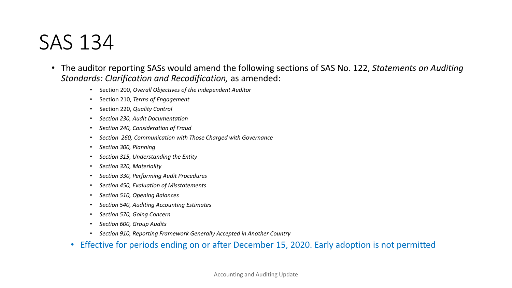- The auditor reporting SASs would amend the following sections of SAS No. 122, *Statements on Auditing Standards: Clarification and Recodification,* as amended:
	- Section 200, *Overall Objectives of the Independent Auditor*
	- Section 210, *Terms of Engagement*
	- Section 220, *Quality Control*
	- *Section 230, Audit Documentation*
	- *Section 240, Consideration of Fraud*
	- *Section 260, Communication with Those Charged with Governance*
	- *Section 300, Planning*
	- *Section 315, Understanding the Entity*
	- *Section 320, Materiality*
	- *Section 330, Performing Audit Procedures*
	- *Section 450, Evaluation of Misstatements*
	- *Section 510, Opening Balances*
	- *Section 540, Auditing Accounting Estimates*
	- *Section 570, Going Concern*
	- *Section 600, Group Audits*
	- *Section 910, Reporting Framework Generally Accepted in Another Country*
	- Effective for periods ending on or after December 15, 2020. Early adoption is not permitted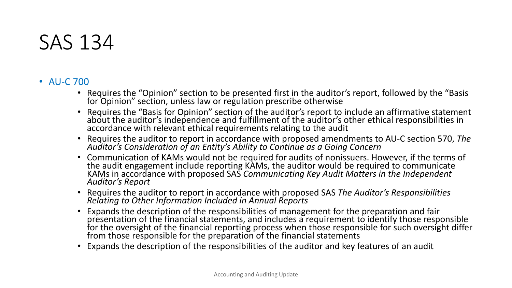#### • AU-C 700

- Requires the "Opinion" section to be presented first in the auditor's report, followed by the "Basis for Opinion" section, unless law or regulation prescribe otherwise
- Requires the "Basis for Opinion" section of the auditor's report to include an affirmative statement about the auditor's independence and fulfillment of the auditor's other ethical responsibilities in accordance with relevant ethical requirements relating to the audit
- Requires the auditor to report in accordance with proposed amendments to AU-C section 570, *The Auditor's Consideration of an Entity's Ability to Continue as a Going Concern*
- Communication of KAMs would not be required for audits of nonissuers. However, if the terms of the audit engagement include reporting KAMs, the auditor would be required to communicate KAMs in accordance with proposed SAS *Communicating Key Audit Matters in the Independent*<br>A*uditor's Report*
- Requires the auditor to report in accordance with proposed SAS *The Auditor's Responsibilities* Relating to Other Information Included in Annual Reports
- Expands the description of the responsibilities of management for the preparation and fair presentation of the financial statements, and includes a requirement to identify those responsible for the oversight of the financial reporting process when those responsible for such oversight differ from those responsible for the preparation of the financial statements
- Expands the description of the responsibilities of the auditor and key features of an audit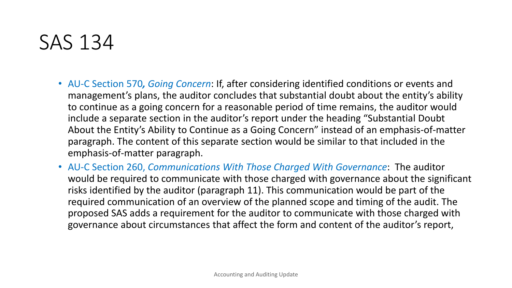- AU-C Section 570*, Going Concern*: If, after considering identified conditions or events and management's plans, the auditor concludes that substantial doubt about the entity's ability to continue as a going concern for a reasonable period of time remains, the auditor would include a separate section in the auditor's report under the heading "Substantial Doubt About the Entity's Ability to Continue as a Going Concern" instead of an emphasis-of-matter paragraph. The content of this separate section would be similar to that included in the emphasis-of-matter paragraph.
- AU-C Section 260, *Communications With Those Charged With Governance*: The auditor would be required to communicate with those charged with governance about the significant risks identified by the auditor (paragraph 11). This communication would be part of the required communication of an overview of the planned scope and timing of the audit. The proposed SAS adds a requirement for the auditor to communicate with those charged with governance about circumstances that affect the form and content of the auditor's report,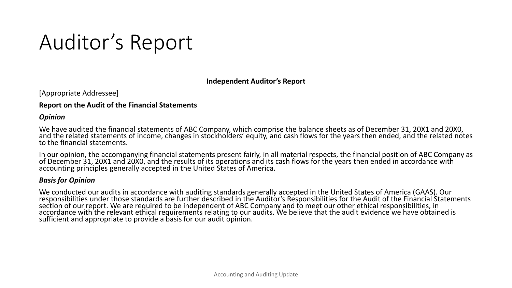**Independent Auditor's Report** 

[Appropriate Addressee]

#### **Report on the Audit of the Financial Statements**

#### *Opinion*

We have audited the financial statements of ABC Company, which comprise the balance sheets as of December 31, 20X1 and 20X0,<br>and the related statements of income, changes in stockholders' equity, and cash flows for the yea to the financial statements.

In our opinion, the accompanying financial statements present fairly, in all material respects, the financial position of ABC Company as<br>of December 31, 20X1 and 20X0, and the results of its operations and its cash flows f

#### *Basis for Opinion*

We conducted our audits in accordance with auditing standards generally accepted in the United States of America (GAAS). Our responsibilities under those standards are further described in the Auditor's Responsibilities for the Audit of the Financial Statements section of our report. We are required to be independent of ABC Company and to meet our other ethical responsibilities, in accordance with the relevant ethical requirements relating to our audits. We believe that the audit evidence we have obtained is sufficient and appropriate to provide a basis for our audit opinion.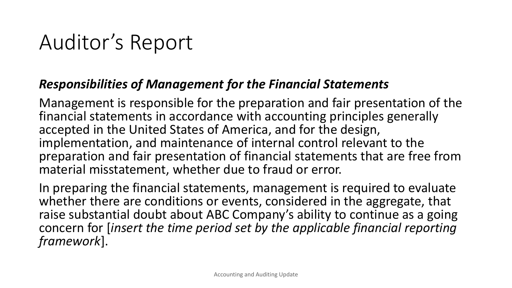#### *Responsibilities of Management for the Financial Statements*

Management is responsible for the preparation and fair presentation of the financial statements in accordance with accounting principles generally accepted in the United States of America, and for the design, implementation, and maintenance of internal control relevant to the preparation and fair presentation of financial statements that are free from material misstatement, whether due to fraud or error.

In preparing the financial statements, management is required to evaluate whether there are conditions or events, considered in the aggregate, that raise substantial doubt about ABC Company's ability to continue as a going concern for [*insert the time period set by the applicable financial reporting framework*].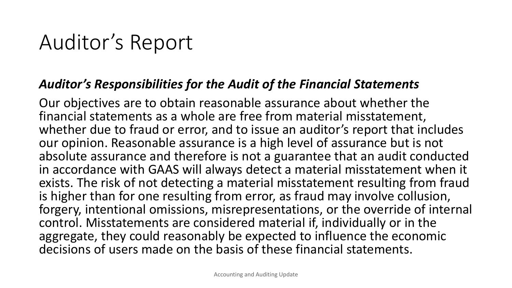#### *Auditor's Responsibilities for the Audit of the Financial Statements*

Our objectives are to obtain reasonable assurance about whether the financial statements as a whole are free from material misstatement, whether due to fraud or error, and to issue an auditor's report that includes our opinion. Reasonable assurance is a high level of assurance but is not absolute assurance and therefore is not a guarantee that an audit conducted in accordance with GAAS will always detect a material misstatement when it exists. The risk of not detecting a material misstatement resulting from fraud is higher than for one resulting from error, as fraud may involve collusion, forgery, intentional omissions, misrepresentations, or the override of internal control. Misstatements are considered material if, individually or in the aggregate, they could reasonably be expected to influence the economic decisions of users made on the basis of these financial statements.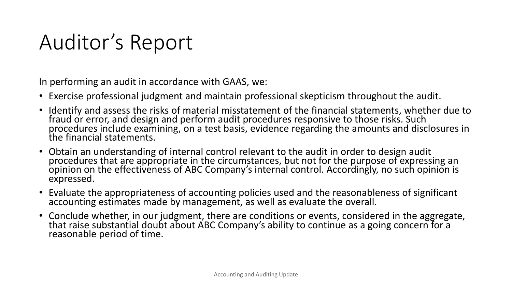In performing an audit in accordance with GAAS, we:

- Exercise professional judgment and maintain professional skepticism throughout the audit.
- Identify and assess the risks of material misstatement of the financial statements, whether due to fraud or error, and design and perform audit procedures responsive to those risks. Such procedures include examining, on a test basis, evidence regarding the amounts and disclosures in the financial statements.
- Obtain an understanding of internal control relevant to the audit in order to design audit procedures that are appropriate in the circumstances, but not for the purpose of expressing an opinion on the effectiveness of ABC Company's internal control. Accordingly, no such opinion is expressed.
- Evaluate the appropriateness of accounting policies used and the reasonableness of significant accounting estimates made by management, as well as evaluate the overall.
- Conclude whether, in our judgment, there are conditions or events, considered in the aggregate, that raise substantial doubt about ABC Company's ability to continue as a going concern for a reasonable period of time.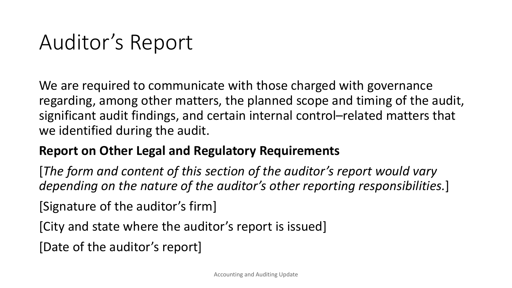We are required to communicate with those charged with governance regarding, among other matters, the planned scope and timing of the audit, significant audit findings, and certain internal control–related matters that we identified during the audit.

#### **Report on Other Legal and Regulatory Requirements**

[*The form and content of this section of the auditor's report would vary depending on the nature of the auditor's other reporting responsibilities.*]

[Signature of the auditor's firm]

[City and state where the auditor's report is issued]

[Date of the auditor's report]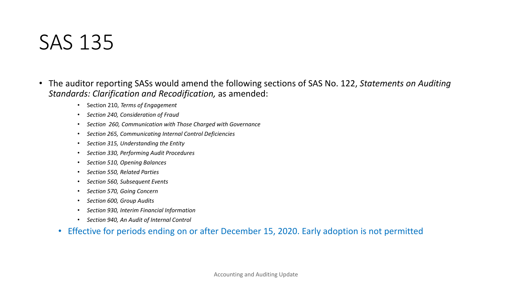- The auditor reporting SASs would amend the following sections of SAS No. 122, *Statements on Auditing Standards: Clarification and Recodification,* as amended:
	- Section 210, *Terms of Engagement*
	- *Section 240, Consideration of Fraud*
	- *Section 260, Communication with Those Charged with Governance*
	- *Section 265, Communicating Internal Control Deficiencies*
	- *Section 315, Understanding the Entity*
	- *Section 330, Performing Audit Procedures*
	- *Section 510, Opening Balances*
	- *Section 550, Related Parties*
	- *Section 560, Subsequent Events*
	- *Section 570, Going Concern*
	- *Section 600, Group Audits*
	- *Section 930, Interim Financial Information*
	- *Section 940, An Audit of Internal Control*
	- Effective for periods ending on or after December 15, 2020. Early adoption is not permitted